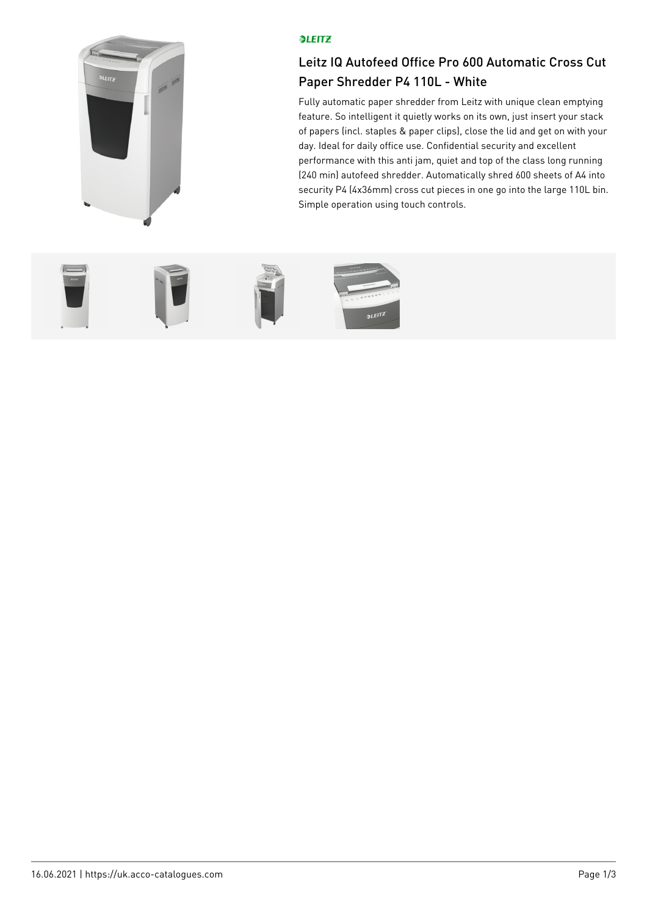

## **OLEITZ**

## Leitz IQ Autofeed Office Pro 600 Automatic Cross Cut Paper Shredder P4 110L - White

Fully automatic paper shredder from Leitz with unique clean emptying feature. So intelligent it quietly works on its own, just insert your stack of papers (incl. staples & paper clips), close the lid and get on with your day. Ideal for daily office use. Confidential security and excellent performance with this anti jam, quiet and top of the class long running (240 min) autofeed shredder. Automatically shred 600 sheets of A4 into security P4 (4x36mm) cross cut pieces in one go into the large 110L bin. Simple operation using touch controls.